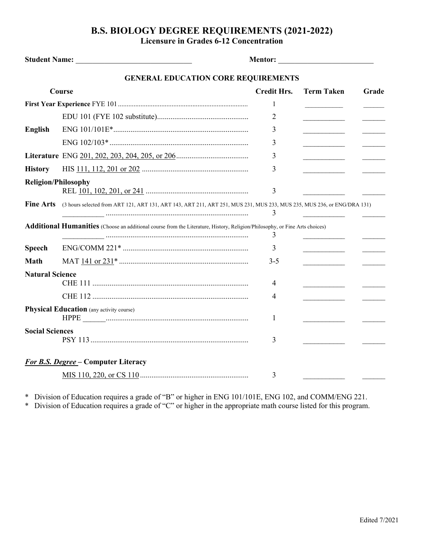## **B.S. BIOLOGY DEGREE REQUIREMENTS (2021-2022) Licensure in Grades 6-12 Concentration**

| Student Name: Names                        |                                                                                                                             | <b>Mentor: ___________________________________</b> |                   |       |  |  |  |
|--------------------------------------------|-----------------------------------------------------------------------------------------------------------------------------|----------------------------------------------------|-------------------|-------|--|--|--|
| <b>GENERAL EDUCATION CORE REQUIREMENTS</b> |                                                                                                                             |                                                    |                   |       |  |  |  |
| Course                                     |                                                                                                                             | <b>Credit Hrs.</b>                                 | <b>Term Taken</b> | Grade |  |  |  |
|                                            |                                                                                                                             | 1                                                  |                   |       |  |  |  |
|                                            |                                                                                                                             | 2                                                  |                   |       |  |  |  |
| <b>English</b>                             |                                                                                                                             | 3                                                  |                   |       |  |  |  |
|                                            |                                                                                                                             | 3                                                  |                   |       |  |  |  |
|                                            |                                                                                                                             | 3                                                  |                   |       |  |  |  |
| <b>History</b>                             |                                                                                                                             | 3                                                  |                   |       |  |  |  |
| <b>Religion/Philosophy</b>                 |                                                                                                                             | 3                                                  |                   |       |  |  |  |
| <b>Fine Arts</b>                           | (3 hours selected from ART 121, ART 131, ART 143, ART 211, ART 251, MUS 231, MUS 233, MUS 235, MUS 236, or ENG/DRA 131)     | 3                                                  |                   |       |  |  |  |
|                                            | Additional Humanities (Choose an additional course from the Literature, History, Religion/Philosophy, or Fine Arts choices) | 3                                                  |                   |       |  |  |  |
| <b>Speech</b>                              |                                                                                                                             | 3                                                  |                   |       |  |  |  |
| <b>Math</b>                                |                                                                                                                             | 3-5                                                |                   |       |  |  |  |
| <b>Natural Science</b>                     |                                                                                                                             | 4                                                  |                   |       |  |  |  |
|                                            |                                                                                                                             | 4                                                  |                   |       |  |  |  |
|                                            | <b>Physical Education</b> (any activity course)                                                                             | 1                                                  |                   |       |  |  |  |
| <b>Social Sciences</b>                     |                                                                                                                             | 3                                                  |                   |       |  |  |  |
| <b>For B.S. Degree - Computer Literacy</b> |                                                                                                                             |                                                    |                   |       |  |  |  |
|                                            |                                                                                                                             | 3                                                  |                   |       |  |  |  |

\* Division of Education requires a grade of "B" or higher in ENG 101/101E, ENG 102, and COMM/ENG 221.

\* Division of Education requires a grade of "C" or higher in the appropriate math course listed for this program.